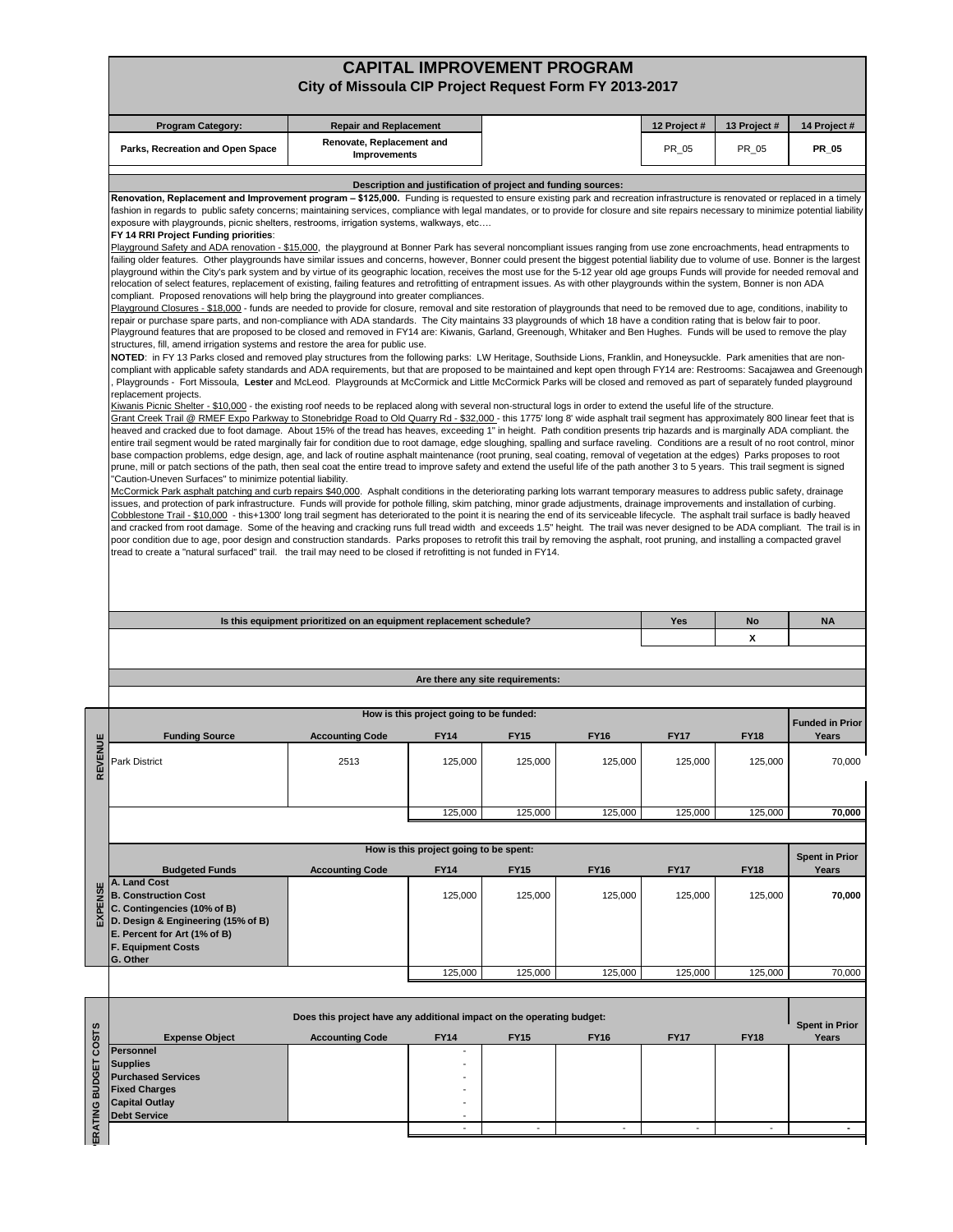## **CAPITAL IMPROVEMENT PROGRAM City of Missoula CIP Project Request Form FY 2013-2017**

|                                                                                                                                                                                                                                                                                                                                                                                                                                                                                                                                                                                                                                                                                                                                                                                                                                                                                                                                                                                                                                                                                                                                                                                                                                                                                                                                                                                                                                                                                                                                                                                                                                                                                                                                                                                                                                                                                                                                                                                                                                                                                                                                                                                                                                                                                                                                                                                                                                                                                                                                                                                                                                                                                                                                                                                                                                                                                                                                                                                                                                                                                                                                                                                                                                                                                                                                                                                                                                                                                                                                                                                                                                                                                                                                                                                                                                                                                                                                                                                                                                                                                                                                                                                                                                                                                                                                                                                                                                                                                                                                                                                                                                                                                                                                                                                                                                                                                                                                                                                             | <b>Program Category:</b><br>12 Project #<br>13 Project #<br><b>Repair and Replacement</b> |                                                       |                                  |             |             |             | 14 Project #                               |
|---------------------------------------------------------------------------------------------------------------------------------------------------------------------------------------------------------------------------------------------------------------------------------------------------------------------------------------------------------------------------------------------------------------------------------------------------------------------------------------------------------------------------------------------------------------------------------------------------------------------------------------------------------------------------------------------------------------------------------------------------------------------------------------------------------------------------------------------------------------------------------------------------------------------------------------------------------------------------------------------------------------------------------------------------------------------------------------------------------------------------------------------------------------------------------------------------------------------------------------------------------------------------------------------------------------------------------------------------------------------------------------------------------------------------------------------------------------------------------------------------------------------------------------------------------------------------------------------------------------------------------------------------------------------------------------------------------------------------------------------------------------------------------------------------------------------------------------------------------------------------------------------------------------------------------------------------------------------------------------------------------------------------------------------------------------------------------------------------------------------------------------------------------------------------------------------------------------------------------------------------------------------------------------------------------------------------------------------------------------------------------------------------------------------------------------------------------------------------------------------------------------------------------------------------------------------------------------------------------------------------------------------------------------------------------------------------------------------------------------------------------------------------------------------------------------------------------------------------------------------------------------------------------------------------------------------------------------------------------------------------------------------------------------------------------------------------------------------------------------------------------------------------------------------------------------------------------------------------------------------------------------------------------------------------------------------------------------------------------------------------------------------------------------------------------------------------------------------------------------------------------------------------------------------------------------------------------------------------------------------------------------------------------------------------------------------------------------------------------------------------------------------------------------------------------------------------------------------------------------------------------------------------------------------------------------------------------------------------------------------------------------------------------------------------------------------------------------------------------------------------------------------------------------------------------------------------------------------------------------------------------------------------------------------------------------------------------------------------------------------------------------------------------------------------------------------------------------------------------------------------------------------------------------------------------------------------------------------------------------------------------------------------------------------------------------------------------------------------------------------------------------------------------------------------------------------------------------------------------------------------------------------------------------------------------------------------------------------------------------------|-------------------------------------------------------------------------------------------|-------------------------------------------------------|----------------------------------|-------------|-------------|-------------|--------------------------------------------|
|                                                                                                                                                                                                                                                                                                                                                                                                                                                                                                                                                                                                                                                                                                                                                                                                                                                                                                                                                                                                                                                                                                                                                                                                                                                                                                                                                                                                                                                                                                                                                                                                                                                                                                                                                                                                                                                                                                                                                                                                                                                                                                                                                                                                                                                                                                                                                                                                                                                                                                                                                                                                                                                                                                                                                                                                                                                                                                                                                                                                                                                                                                                                                                                                                                                                                                                                                                                                                                                                                                                                                                                                                                                                                                                                                                                                                                                                                                                                                                                                                                                                                                                                                                                                                                                                                                                                                                                                                                                                                                                                                                                                                                                                                                                                                                                                                                                                                                                                                                                             |                                                                                           |                                                       |                                  |             |             |             |                                            |
|                                                                                                                                                                                                                                                                                                                                                                                                                                                                                                                                                                                                                                                                                                                                                                                                                                                                                                                                                                                                                                                                                                                                                                                                                                                                                                                                                                                                                                                                                                                                                                                                                                                                                                                                                                                                                                                                                                                                                                                                                                                                                                                                                                                                                                                                                                                                                                                                                                                                                                                                                                                                                                                                                                                                                                                                                                                                                                                                                                                                                                                                                                                                                                                                                                                                                                                                                                                                                                                                                                                                                                                                                                                                                                                                                                                                                                                                                                                                                                                                                                                                                                                                                                                                                                                                                                                                                                                                                                                                                                                                                                                                                                                                                                                                                                                                                                                                                                                                                                                             |                                                                                           |                                                       |                                  |             |             |             |                                            |
| Renovate, Replacement and<br>PR_05<br>PR_05<br><b>PR 05</b><br>Parks, Recreation and Open Space<br><b>Improvements</b><br>Description and justification of project and funding sources:<br>Renovation, Replacement and Improvement program - \$125,000. Funding is requested to ensure existing park and recreation infrastructure is renovated or replaced in a timely<br>fashion in regards to public safety concerns; maintaining services, compliance with legal mandates, or to provide for closure and site repairs necessary to minimize potential liability<br>exposure with playgrounds, picnic shelters, restrooms, irrigation systems, walkways, etc<br>FY 14 RRI Project Funding priorities:<br>Playground Safety and ADA renovation - \$15,000, the playground at Bonner Park has several noncompliant issues ranging from use zone encroachments, head entrapments to<br>failing older features. Other playgrounds have similar issues and concerns, however, Bonner could present the biggest potential liability due to volume of use. Bonner is the largest<br>playground within the City's park system and by virtue of its geographic location, receives the most use for the 5-12 year old age groups Funds will provide for needed removal and<br>relocation of select features, replacement of existing, failing features and retrofitting of entrapment issues. As with other playgrounds within the system, Bonner is non ADA<br>compliant. Proposed renovations will help bring the playground into greater compliances.<br>Playground Closures - \$18,000 - funds are needed to provide for closure, removal and site restoration of playgrounds that need to be removed due to age, conditions, inability to<br>repair or purchase spare parts, and non-compliance with ADA standards. The City maintains 33 playgrounds of which 18 have a condition rating that is below fair to poor.<br>Playground features that are proposed to be closed and removed in FY14 are: Kiwanis, Garland, Greenough, Whitaker and Ben Hughes. Funds will be used to remove the play<br>structures, fill, amend irrigation systems and restore the area for public use.<br>NOTED: in FY 13 Parks closed and removed play structures from the following parks: LW Heritage, Southside Lions, Franklin, and Honeysuckle. Park amenities that are non-<br>compliant with applicable safety standards and ADA requirements, but that are proposed to be maintained and kept open through FY14 are: Restrooms: Sacajawea and Greenough<br>Playgrounds - Fort Missoula, Lester and McLeod. Playgrounds at McCormick and Little McCormick Parks will be closed and removed as part of separately funded playground<br>replacement projects.<br>Kiwanis Picnic Shelter - \$10,000 - the existing roof needs to be replaced along with several non-structural logs in order to extend the useful life of the structure.<br>Grant Creek Trail @ RMEF Expo Parkway to Stonebridge Road to Old Quarry Rd - \$32,000 - this 1775' long 8' wide asphalt trail segment has approximately 800 linear feet that is<br>heaved and cracked due to foot damage. About 15% of the tread has heaves, exceeding 1" in height. Path condition presents trip hazards and is marginally ADA compliant. the<br>entire trail segment would be rated marginally fair for condition due to root damage, edge sloughing, spalling and surface raveling. Conditions are a result of no root control, minor<br>base compaction problems, edge design, age, and lack of routine asphalt maintenance (root pruning, seal coating, removal of vegetation at the edges) Parks proposes to root<br>prune, mill or patch sections of the path, then seal coat the entire tread to improve safety and extend the useful life of the path another 3 to 5 years. This trail segment is signed<br>"Caution-Uneven Surfaces" to minimize potential liability.<br>McCormick Park asphalt patching and curb repairs \$40,000. Asphalt conditions in the deteriorating parking lots warrant temporary measures to address public safety, drainage<br>issues, and protection of park infrastructure. Funds will provide for pothole filling, skim patching, minor grade adjustments, drainage improvements and installation of curbing.<br>Cobblestone Trail - \$10,000 - this+1300' long trail segment has deteriorated to the point it is nearing the end of its serviceable lifecycle. The asphalt trail surface is badly heaved<br>and cracked from root damage. Some of the heaving and cracking runs full tread width and exceeds 1.5" height. The trail was never designed to be ADA compliant. The trail is in<br>poor condition due to age, poor design and construction standards. Parks proposes to retrofit this trail by removing the asphalt, root pruning, and installing a compacted gravel<br>tread to create a "natural surfaced" trail. the trail may need to be closed if retrofitting is not funded in FY14. |                                                                                           |                                                       |                                  |             |             |             |                                            |
| Is this equipment prioritized on an equipment replacement schedule?<br>Yes<br>No<br>X                                                                                                                                                                                                                                                                                                                                                                                                                                                                                                                                                                                                                                                                                                                                                                                                                                                                                                                                                                                                                                                                                                                                                                                                                                                                                                                                                                                                                                                                                                                                                                                                                                                                                                                                                                                                                                                                                                                                                                                                                                                                                                                                                                                                                                                                                                                                                                                                                                                                                                                                                                                                                                                                                                                                                                                                                                                                                                                                                                                                                                                                                                                                                                                                                                                                                                                                                                                                                                                                                                                                                                                                                                                                                                                                                                                                                                                                                                                                                                                                                                                                                                                                                                                                                                                                                                                                                                                                                                                                                                                                                                                                                                                                                                                                                                                                                                                                                                       |                                                                                           |                                                       |                                  |             |             |             |                                            |
|                                                                                                                                                                                                                                                                                                                                                                                                                                                                                                                                                                                                                                                                                                                                                                                                                                                                                                                                                                                                                                                                                                                                                                                                                                                                                                                                                                                                                                                                                                                                                                                                                                                                                                                                                                                                                                                                                                                                                                                                                                                                                                                                                                                                                                                                                                                                                                                                                                                                                                                                                                                                                                                                                                                                                                                                                                                                                                                                                                                                                                                                                                                                                                                                                                                                                                                                                                                                                                                                                                                                                                                                                                                                                                                                                                                                                                                                                                                                                                                                                                                                                                                                                                                                                                                                                                                                                                                                                                                                                                                                                                                                                                                                                                                                                                                                                                                                                                                                                                                             |                                                                                           |                                                       |                                  |             |             |             | <b>NA</b>                                  |
|                                                                                                                                                                                                                                                                                                                                                                                                                                                                                                                                                                                                                                                                                                                                                                                                                                                                                                                                                                                                                                                                                                                                                                                                                                                                                                                                                                                                                                                                                                                                                                                                                                                                                                                                                                                                                                                                                                                                                                                                                                                                                                                                                                                                                                                                                                                                                                                                                                                                                                                                                                                                                                                                                                                                                                                                                                                                                                                                                                                                                                                                                                                                                                                                                                                                                                                                                                                                                                                                                                                                                                                                                                                                                                                                                                                                                                                                                                                                                                                                                                                                                                                                                                                                                                                                                                                                                                                                                                                                                                                                                                                                                                                                                                                                                                                                                                                                                                                                                                                             |                                                                                           |                                                       |                                  |             |             |             |                                            |
|                                                                                                                                                                                                                                                                                                                                                                                                                                                                                                                                                                                                                                                                                                                                                                                                                                                                                                                                                                                                                                                                                                                                                                                                                                                                                                                                                                                                                                                                                                                                                                                                                                                                                                                                                                                                                                                                                                                                                                                                                                                                                                                                                                                                                                                                                                                                                                                                                                                                                                                                                                                                                                                                                                                                                                                                                                                                                                                                                                                                                                                                                                                                                                                                                                                                                                                                                                                                                                                                                                                                                                                                                                                                                                                                                                                                                                                                                                                                                                                                                                                                                                                                                                                                                                                                                                                                                                                                                                                                                                                                                                                                                                                                                                                                                                                                                                                                                                                                                                                             |                                                                                           |                                                       | Are there any site requirements: |             |             |             |                                            |
|                                                                                                                                                                                                                                                                                                                                                                                                                                                                                                                                                                                                                                                                                                                                                                                                                                                                                                                                                                                                                                                                                                                                                                                                                                                                                                                                                                                                                                                                                                                                                                                                                                                                                                                                                                                                                                                                                                                                                                                                                                                                                                                                                                                                                                                                                                                                                                                                                                                                                                                                                                                                                                                                                                                                                                                                                                                                                                                                                                                                                                                                                                                                                                                                                                                                                                                                                                                                                                                                                                                                                                                                                                                                                                                                                                                                                                                                                                                                                                                                                                                                                                                                                                                                                                                                                                                                                                                                                                                                                                                                                                                                                                                                                                                                                                                                                                                                                                                                                                                             |                                                                                           | How is this project going to be funded:               |                                  |             |             |             |                                            |
| <b>Funding Source</b>                                                                                                                                                                                                                                                                                                                                                                                                                                                                                                                                                                                                                                                                                                                                                                                                                                                                                                                                                                                                                                                                                                                                                                                                                                                                                                                                                                                                                                                                                                                                                                                                                                                                                                                                                                                                                                                                                                                                                                                                                                                                                                                                                                                                                                                                                                                                                                                                                                                                                                                                                                                                                                                                                                                                                                                                                                                                                                                                                                                                                                                                                                                                                                                                                                                                                                                                                                                                                                                                                                                                                                                                                                                                                                                                                                                                                                                                                                                                                                                                                                                                                                                                                                                                                                                                                                                                                                                                                                                                                                                                                                                                                                                                                                                                                                                                                                                                                                                                                                       | <b>Accounting Code</b>                                                                    | <b>FY14</b>                                           | <b>FY15</b>                      | <b>FY16</b> | <b>FY17</b> | <b>FY18</b> | Years                                      |
| Park District                                                                                                                                                                                                                                                                                                                                                                                                                                                                                                                                                                                                                                                                                                                                                                                                                                                                                                                                                                                                                                                                                                                                                                                                                                                                                                                                                                                                                                                                                                                                                                                                                                                                                                                                                                                                                                                                                                                                                                                                                                                                                                                                                                                                                                                                                                                                                                                                                                                                                                                                                                                                                                                                                                                                                                                                                                                                                                                                                                                                                                                                                                                                                                                                                                                                                                                                                                                                                                                                                                                                                                                                                                                                                                                                                                                                                                                                                                                                                                                                                                                                                                                                                                                                                                                                                                                                                                                                                                                                                                                                                                                                                                                                                                                                                                                                                                                                                                                                                                               | 2513                                                                                      | 125,000                                               | 125,000                          | 125,000     | 125,000     | 125,000     |                                            |
|                                                                                                                                                                                                                                                                                                                                                                                                                                                                                                                                                                                                                                                                                                                                                                                                                                                                                                                                                                                                                                                                                                                                                                                                                                                                                                                                                                                                                                                                                                                                                                                                                                                                                                                                                                                                                                                                                                                                                                                                                                                                                                                                                                                                                                                                                                                                                                                                                                                                                                                                                                                                                                                                                                                                                                                                                                                                                                                                                                                                                                                                                                                                                                                                                                                                                                                                                                                                                                                                                                                                                                                                                                                                                                                                                                                                                                                                                                                                                                                                                                                                                                                                                                                                                                                                                                                                                                                                                                                                                                                                                                                                                                                                                                                                                                                                                                                                                                                                                                                             |                                                                                           | 125,000                                               | 125,000                          | 125,000     | 125,000     | 125,000     |                                            |
|                                                                                                                                                                                                                                                                                                                                                                                                                                                                                                                                                                                                                                                                                                                                                                                                                                                                                                                                                                                                                                                                                                                                                                                                                                                                                                                                                                                                                                                                                                                                                                                                                                                                                                                                                                                                                                                                                                                                                                                                                                                                                                                                                                                                                                                                                                                                                                                                                                                                                                                                                                                                                                                                                                                                                                                                                                                                                                                                                                                                                                                                                                                                                                                                                                                                                                                                                                                                                                                                                                                                                                                                                                                                                                                                                                                                                                                                                                                                                                                                                                                                                                                                                                                                                                                                                                                                                                                                                                                                                                                                                                                                                                                                                                                                                                                                                                                                                                                                                                                             |                                                                                           |                                                       |                                  |             |             |             | <b>Funded in Prior</b><br>70,000<br>70,000 |
| <b>Budgeted Funds</b>                                                                                                                                                                                                                                                                                                                                                                                                                                                                                                                                                                                                                                                                                                                                                                                                                                                                                                                                                                                                                                                                                                                                                                                                                                                                                                                                                                                                                                                                                                                                                                                                                                                                                                                                                                                                                                                                                                                                                                                                                                                                                                                                                                                                                                                                                                                                                                                                                                                                                                                                                                                                                                                                                                                                                                                                                                                                                                                                                                                                                                                                                                                                                                                                                                                                                                                                                                                                                                                                                                                                                                                                                                                                                                                                                                                                                                                                                                                                                                                                                                                                                                                                                                                                                                                                                                                                                                                                                                                                                                                                                                                                                                                                                                                                                                                                                                                                                                                                                                       | <b>Accounting Code</b>                                                                    | How is this project going to be spent:<br><b>FY14</b> | <b>FY15</b>                      | <b>FY16</b> | <b>FY17</b> | <b>FY18</b> | Years                                      |
| A. Land Cost<br><b>B. Construction Cost</b><br>C. Contingencies (10% of B)<br>D. Design & Engineering (15% of B)<br>E. Percent for Art (1% of B)<br><b>F. Equipment Costs</b><br>G. Other                                                                                                                                                                                                                                                                                                                                                                                                                                                                                                                                                                                                                                                                                                                                                                                                                                                                                                                                                                                                                                                                                                                                                                                                                                                                                                                                                                                                                                                                                                                                                                                                                                                                                                                                                                                                                                                                                                                                                                                                                                                                                                                                                                                                                                                                                                                                                                                                                                                                                                                                                                                                                                                                                                                                                                                                                                                                                                                                                                                                                                                                                                                                                                                                                                                                                                                                                                                                                                                                                                                                                                                                                                                                                                                                                                                                                                                                                                                                                                                                                                                                                                                                                                                                                                                                                                                                                                                                                                                                                                                                                                                                                                                                                                                                                                                                   |                                                                                           | 125,000                                               | 125,000                          | 125,000     | 125,000     | 125,000     | <b>Spent in Prior</b><br>70,000            |
|                                                                                                                                                                                                                                                                                                                                                                                                                                                                                                                                                                                                                                                                                                                                                                                                                                                                                                                                                                                                                                                                                                                                                                                                                                                                                                                                                                                                                                                                                                                                                                                                                                                                                                                                                                                                                                                                                                                                                                                                                                                                                                                                                                                                                                                                                                                                                                                                                                                                                                                                                                                                                                                                                                                                                                                                                                                                                                                                                                                                                                                                                                                                                                                                                                                                                                                                                                                                                                                                                                                                                                                                                                                                                                                                                                                                                                                                                                                                                                                                                                                                                                                                                                                                                                                                                                                                                                                                                                                                                                                                                                                                                                                                                                                                                                                                                                                                                                                                                                                             |                                                                                           | 125,000                                               | 125,000                          | 125,000     | 125,000     | 125,000     | 70,000                                     |
|                                                                                                                                                                                                                                                                                                                                                                                                                                                                                                                                                                                                                                                                                                                                                                                                                                                                                                                                                                                                                                                                                                                                                                                                                                                                                                                                                                                                                                                                                                                                                                                                                                                                                                                                                                                                                                                                                                                                                                                                                                                                                                                                                                                                                                                                                                                                                                                                                                                                                                                                                                                                                                                                                                                                                                                                                                                                                                                                                                                                                                                                                                                                                                                                                                                                                                                                                                                                                                                                                                                                                                                                                                                                                                                                                                                                                                                                                                                                                                                                                                                                                                                                                                                                                                                                                                                                                                                                                                                                                                                                                                                                                                                                                                                                                                                                                                                                                                                                                                                             |                                                                                           |                                                       |                                  |             |             |             |                                            |
|                                                                                                                                                                                                                                                                                                                                                                                                                                                                                                                                                                                                                                                                                                                                                                                                                                                                                                                                                                                                                                                                                                                                                                                                                                                                                                                                                                                                                                                                                                                                                                                                                                                                                                                                                                                                                                                                                                                                                                                                                                                                                                                                                                                                                                                                                                                                                                                                                                                                                                                                                                                                                                                                                                                                                                                                                                                                                                                                                                                                                                                                                                                                                                                                                                                                                                                                                                                                                                                                                                                                                                                                                                                                                                                                                                                                                                                                                                                                                                                                                                                                                                                                                                                                                                                                                                                                                                                                                                                                                                                                                                                                                                                                                                                                                                                                                                                                                                                                                                                             | Does this project have any additional impact on the operating budget:                     |                                                       |                                  |             |             |             |                                            |
| <b>Expense Object</b><br><b>Personnel</b><br><b>Supplies</b><br><b>Purchased Services</b><br><b>Fixed Charges</b><br><b>Capital Outlay</b><br><b>Debt Service</b>                                                                                                                                                                                                                                                                                                                                                                                                                                                                                                                                                                                                                                                                                                                                                                                                                                                                                                                                                                                                                                                                                                                                                                                                                                                                                                                                                                                                                                                                                                                                                                                                                                                                                                                                                                                                                                                                                                                                                                                                                                                                                                                                                                                                                                                                                                                                                                                                                                                                                                                                                                                                                                                                                                                                                                                                                                                                                                                                                                                                                                                                                                                                                                                                                                                                                                                                                                                                                                                                                                                                                                                                                                                                                                                                                                                                                                                                                                                                                                                                                                                                                                                                                                                                                                                                                                                                                                                                                                                                                                                                                                                                                                                                                                                                                                                                                           | <b>Accounting Code</b>                                                                    | <b>FY14</b>                                           | <b>FY15</b>                      | <b>FY16</b> | <b>FY17</b> | <b>FY18</b> | <b>Spent in Prior</b><br>Years             |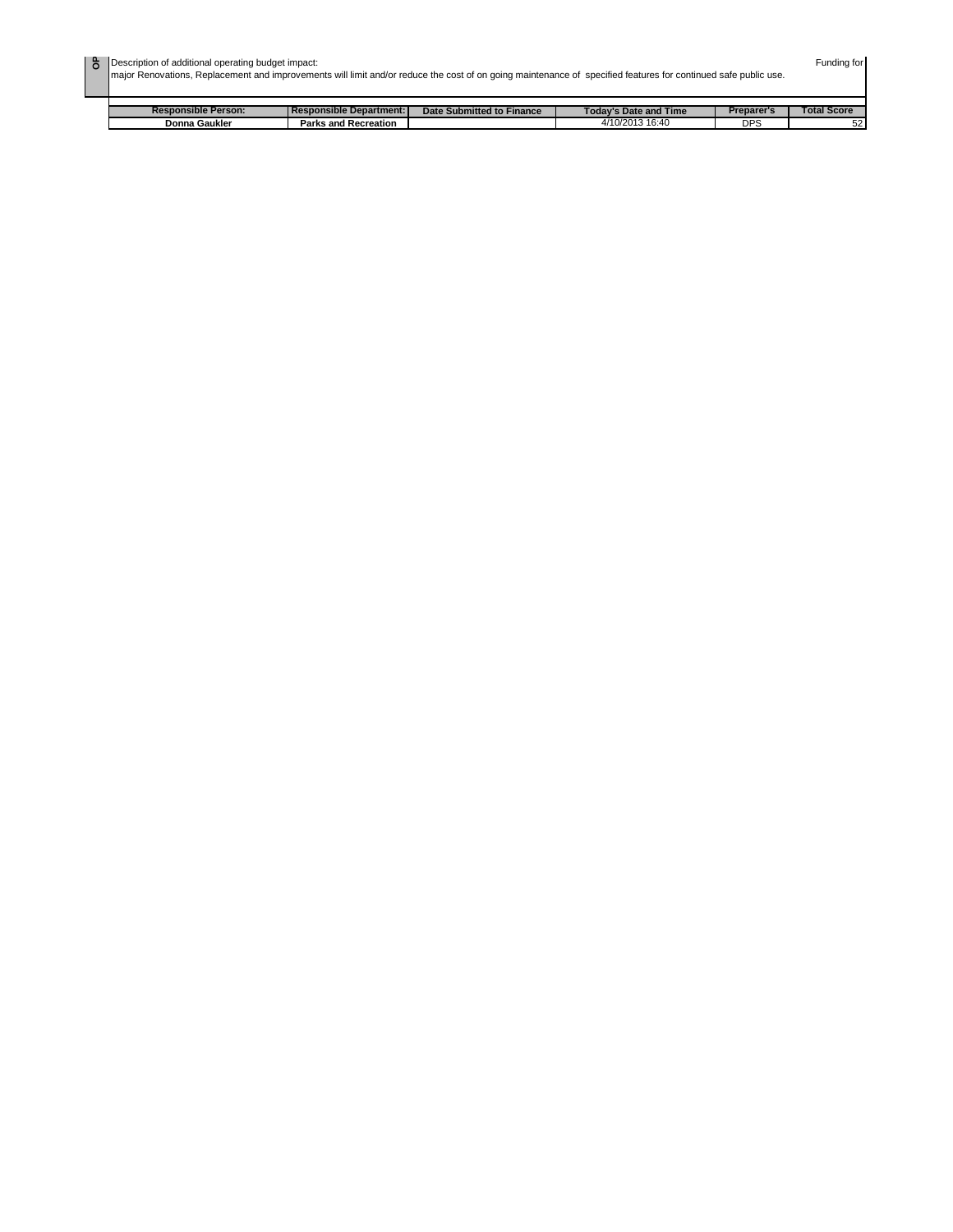| ō | Description of additional operating budget impact:<br>major Renovations, Replacement and improvements will limit and/or reduce the cost of on going maintenance of specified features for continued safe public use. | Funding for |
|---|----------------------------------------------------------------------------------------------------------------------------------------------------------------------------------------------------------------------|-------------|

| <b>Responsible Person:</b> | l Responsible Department: I | Date Submitted to Finance | 'Time<br><b>Fodav's Date and</b> | Preparer's | Total Score |
|----------------------------|-----------------------------|---------------------------|----------------------------------|------------|-------------|
| Donna Gaukler              | <b>Parks and Recreation</b> |                           | /10/2013<br>16:40<br>.           | <b>DPS</b> | -0<br>JZ    |
|                            |                             |                           |                                  |            |             |